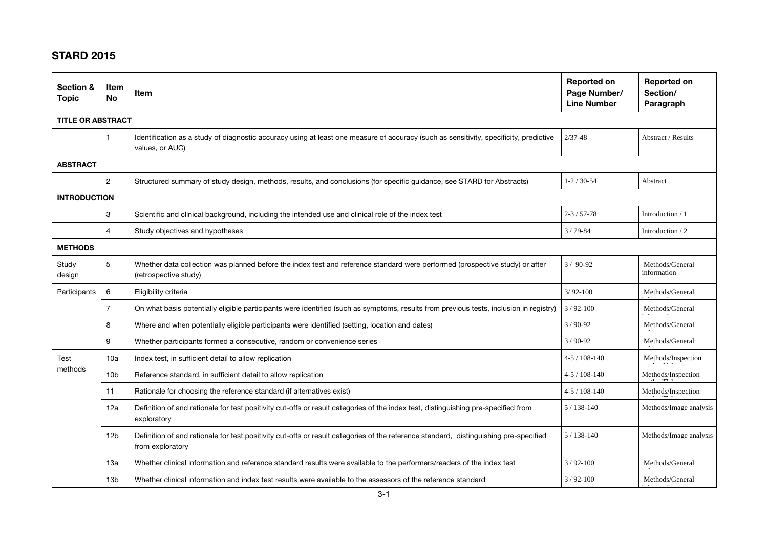## STARD 2015

| Section &<br><b>Topic</b> | Item<br><b>No</b> | Item                                                                                                                                                      | <b>Reported on</b><br>Page Number/<br><b>Line Number</b> | <b>Reported on</b><br>Section/<br>Paragraph |  |  |  |
|---------------------------|-------------------|-----------------------------------------------------------------------------------------------------------------------------------------------------------|----------------------------------------------------------|---------------------------------------------|--|--|--|
| <b>TITLE OR ABSTRACT</b>  |                   |                                                                                                                                                           |                                                          |                                             |  |  |  |
|                           |                   | Identification as a study of diagnostic accuracy using at least one measure of accuracy (such as sensitivity, specificity, predictive<br>values, or AUC)  | $2/37 - 48$                                              | Abstract / Results                          |  |  |  |
| <b>ABSTRACT</b>           |                   |                                                                                                                                                           |                                                          |                                             |  |  |  |
|                           | 2                 | Structured summary of study design, methods, results, and conclusions (for specific guidance, see STARD for Abstracts)                                    | $1 - 2 / 30 - 54$                                        | Abstract                                    |  |  |  |
| <b>INTRODUCTION</b>       |                   |                                                                                                                                                           |                                                          |                                             |  |  |  |
|                           | 3                 | Scientific and clinical background, including the intended use and clinical role of the index test                                                        | $2 - 3 / 57 - 78$                                        | Introduction / 1                            |  |  |  |
|                           | $\overline{4}$    | Study objectives and hypotheses                                                                                                                           | $3/79 - 84$                                              | Introduction / 2                            |  |  |  |
| <b>METHODS</b>            |                   |                                                                                                                                                           |                                                          |                                             |  |  |  |
| Study<br>design           | 5                 | Whether data collection was planned before the index test and reference standard were performed (prospective study) or after<br>(retrospective study)     | $3/90-92$                                                | Methods/General<br>information              |  |  |  |
| Participants              | 6                 | Eligibility criteria                                                                                                                                      | $3/92 - 100$                                             | Methods/General                             |  |  |  |
|                           | $\overline{7}$    | On what basis potentially eligible participants were identified (such as symptoms, results from previous tests, inclusion in registry)                    | $3/92-100$                                               | Methods/General                             |  |  |  |
|                           | 8                 | Where and when potentially eligible participants were identified (setting, location and dates)                                                            | $3/90-92$                                                | Methods/General                             |  |  |  |
|                           | 9                 | Whether participants formed a consecutive, random or convenience series                                                                                   | $3/90-92$                                                | Methods/General                             |  |  |  |
| Test<br>methods           | 10a               | Index test, in sufficient detail to allow replication                                                                                                     | $4 - 5 / 108 - 140$                                      | Methods/Inspection                          |  |  |  |
|                           | 10 <sub>b</sub>   | Reference standard, in sufficient detail to allow replication                                                                                             | $4 - 5 / 108 - 140$                                      | $\mbox{Methods/Inspection}$                 |  |  |  |
|                           | 11                | Rationale for choosing the reference standard (if alternatives exist)                                                                                     | $4 - 5 / 108 - 140$                                      | Methods/Inspection                          |  |  |  |
|                           | 12a               | Definition of and rationale for test positivity cut-offs or result categories of the index test, distinguishing pre-specified from<br>exploratory         | $5/138-140$                                              | Methods/Image analysis                      |  |  |  |
|                           | 12 <sub>b</sub>   | Definition of and rationale for test positivity cut-offs or result categories of the reference standard, distinguishing pre-specified<br>from exploratory | $5/138-140$                                              | Methods/Image analysis                      |  |  |  |
|                           | 13a               | Whether clinical information and reference standard results were available to the performers/readers of the index test                                    | $3/92-100$                                               | Methods/General                             |  |  |  |
|                           | 13 <sub>b</sub>   | Whether clinical information and index test results were available to the assessors of the reference standard                                             | $3/92-100$                                               | Methods/General                             |  |  |  |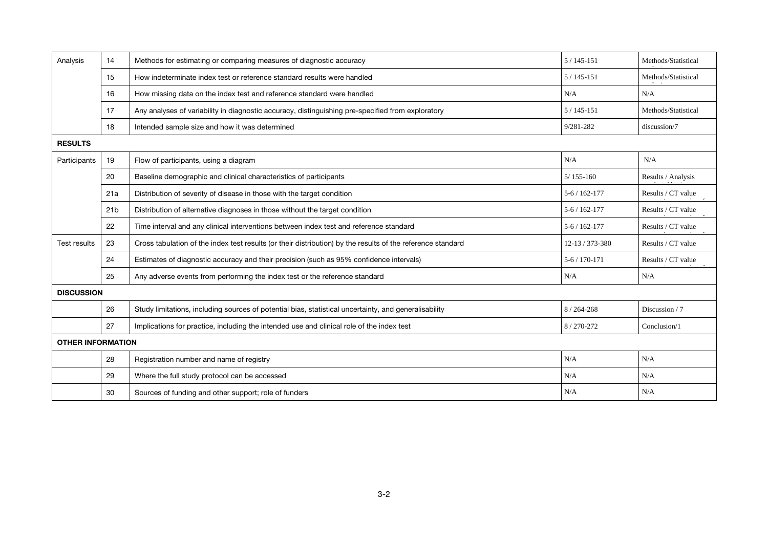| Analysis                 | 14              | Methods for estimating or comparing measures of diagnostic accuracy                                         | $5/145 - 151$   | Methods/Statistical |  |  |  |
|--------------------------|-----------------|-------------------------------------------------------------------------------------------------------------|-----------------|---------------------|--|--|--|
|                          | 15              | How indeterminate index test or reference standard results were handled                                     | $5/145 - 151$   | Methods/Statistical |  |  |  |
|                          | 16              | How missing data on the index test and reference standard were handled                                      | N/A             | N/A                 |  |  |  |
|                          | 17              | Any analyses of variability in diagnostic accuracy, distinguishing pre-specified from exploratory           | $5/145-151$     | Methods/Statistical |  |  |  |
|                          | 18              | Intended sample size and how it was determined                                                              | 9/281-282       | discussion/7        |  |  |  |
| <b>RESULTS</b>           |                 |                                                                                                             |                 |                     |  |  |  |
| Participants             | 19              | Flow of participants, using a diagram                                                                       | N/A             | N/A                 |  |  |  |
|                          | 20              | Baseline demographic and clinical characteristics of participants                                           | $5/155 - 160$   | Results / Analysis  |  |  |  |
|                          | 21a             | Distribution of severity of disease in those with the target condition                                      | $5-6/162-177$   | Results / CT value  |  |  |  |
|                          | 21 <sub>b</sub> | Distribution of alternative diagnoses in those without the target condition                                 | $5-6/162-177$   | Results / CT value  |  |  |  |
|                          | 22              | Time interval and any clinical interventions between index test and reference standard                      | $5-6/162-177$   | Results / CT value  |  |  |  |
| <b>Test results</b>      | 23              | Cross tabulation of the index test results (or their distribution) by the results of the reference standard | 12-13 / 373-380 | Results / CT value  |  |  |  |
|                          | 24              | Estimates of diagnostic accuracy and their precision (such as 95% confidence intervals)                     | $5-6/170-171$   | Results / CT value  |  |  |  |
|                          | 25              | Any adverse events from performing the index test or the reference standard                                 | N/A             | N/A                 |  |  |  |
| <b>DISCUSSION</b>        |                 |                                                                                                             |                 |                     |  |  |  |
|                          | 26              | Study limitations, including sources of potential bias, statistical uncertainty, and generalisability       | $8/264 - 268$   | Discussion / 7      |  |  |  |
|                          | 27              | Implications for practice, including the intended use and clinical role of the index test                   | 8/270-272       | Conclusion/1        |  |  |  |
| <b>OTHER INFORMATION</b> |                 |                                                                                                             |                 |                     |  |  |  |
|                          | 28              | Registration number and name of registry                                                                    | N/A             | N/A                 |  |  |  |
|                          | 29              | Where the full study protocol can be accessed                                                               | N/A             | N/A                 |  |  |  |
|                          | 30              | Sources of funding and other support; role of funders                                                       | N/A             | N/A                 |  |  |  |